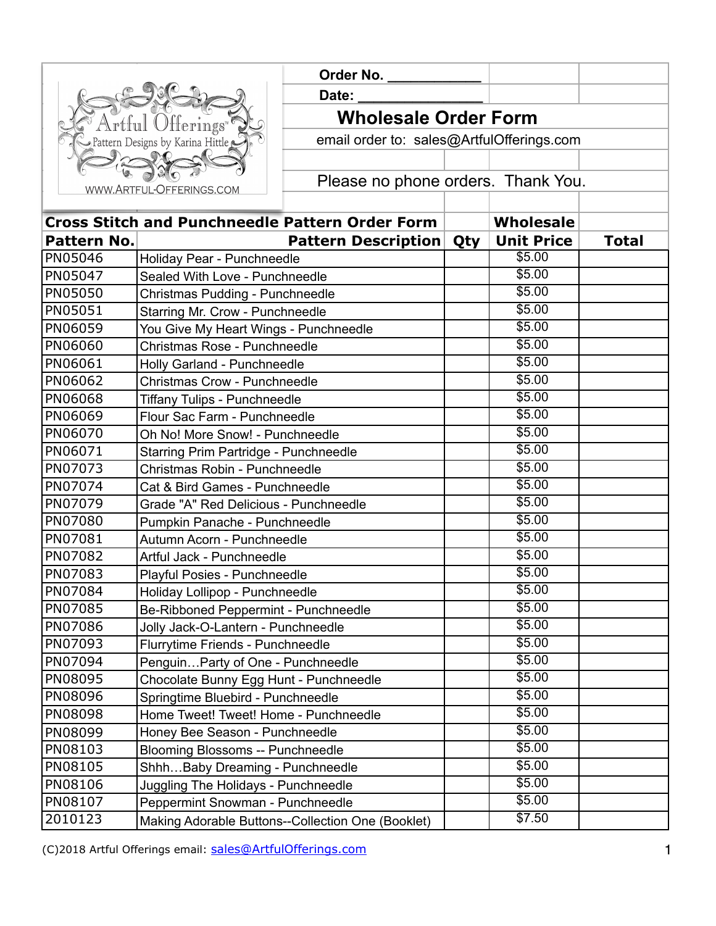| Artful Offerings"                              |
|------------------------------------------------|
| $\cup$ Pattern Designs by Karina Hittle $\cup$ |
|                                                |
| WWW.ARTFUL-OFFERINGS.COM                       |

 **Order No. \_\_\_\_\_\_\_\_\_\_\_\_ Date: Wholesale Order Form**  email order to: sales@ArtfulOfferings.com Please no phone orders. Thank You.

| <b>Cross Stitch and Punchneedle Pattern Order Form</b> |                                                   |     | <b>Wholesale</b>   |              |
|--------------------------------------------------------|---------------------------------------------------|-----|--------------------|--------------|
| Pattern No.                                            | <b>Pattern Description</b>                        | Qty | <b>Unit Price</b>  | <b>Total</b> |
| PN05046                                                | Holiday Pear - Punchneedle                        |     | \$5.00             |              |
| PN05047                                                | Sealed With Love - Punchneedle                    |     | \$5.00             |              |
| PN05050                                                | Christmas Pudding - Punchneedle                   |     | \$5.00             |              |
| PN05051                                                | Starring Mr. Crow - Punchneedle                   |     | \$5.00             |              |
| PN06059                                                | You Give My Heart Wings - Punchneedle             |     | \$5.00             |              |
| PN06060                                                | Christmas Rose - Punchneedle                      |     | $\overline{$}5.00$ |              |
| PN06061                                                | Holly Garland - Punchneedle                       |     | \$5.00             |              |
| PN06062                                                | <b>Christmas Crow - Punchneedle</b>               |     | \$5.00             |              |
| PN06068                                                | <b>Tiffany Tulips - Punchneedle</b>               |     | \$5.00             |              |
| PN06069                                                | Flour Sac Farm - Punchneedle                      |     | \$5.00             |              |
| PN06070                                                | Oh No! More Snow! - Punchneedle                   |     | \$5.00             |              |
| PN06071                                                | Starring Prim Partridge - Punchneedle             |     | \$5.00             |              |
| PN07073                                                | Christmas Robin - Punchneedle                     |     | \$5.00             |              |
| PN07074                                                | Cat & Bird Games - Punchneedle                    |     | \$5.00             |              |
| PN07079                                                | Grade "A" Red Delicious - Punchneedle             |     | \$5.00             |              |
| PN07080                                                | Pumpkin Panache - Punchneedle                     |     | \$5.00             |              |
| PN07081                                                | Autumn Acorn - Punchneedle                        |     | \$5.00             |              |
| PN07082                                                | Artful Jack - Punchneedle                         |     | \$5.00             |              |
| PN07083                                                | Playful Posies - Punchneedle                      |     | \$5.00             |              |
| PN07084                                                | Holiday Lollipop - Punchneedle                    |     | \$5.00             |              |
| PN07085                                                | Be-Ribboned Peppermint - Punchneedle              |     | \$5.00             |              |
| PN07086                                                | Jolly Jack-O-Lantern - Punchneedle                |     | \$5.00             |              |
| PN07093                                                | Flurrytime Friends - Punchneedle                  |     | \$5.00             |              |
| PN07094                                                | PenguinParty of One - Punchneedle                 |     | \$5.00             |              |
| PN08095                                                | Chocolate Bunny Egg Hunt - Punchneedle            |     | \$5.00             |              |
| PN08096                                                | Springtime Bluebird - Punchneedle                 |     | \$5.00             |              |
| PN08098                                                | Home Tweet! Tweet! Home - Punchneedle             |     | \$5.00             |              |
| PN08099                                                | Honey Bee Season - Punchneedle                    |     | \$5.00             |              |
| PN08103                                                | <b>Blooming Blossoms -- Punchneedle</b>           |     | \$5.00             |              |
| PN08105                                                | ShhhBaby Dreaming - Punchneedle                   |     | \$5.00             |              |
| PN08106                                                | Juggling The Holidays - Punchneedle               |     | \$5.00             |              |
| PN08107                                                | Peppermint Snowman - Punchneedle                  |     | \$5.00             |              |
| 2010123                                                | Making Adorable Buttons--Collection One (Booklet) |     | \$7.50             |              |

(C)2018 Artful Offerings email: [sales@ArtfulOfferings.com](mailto:sales@artfulofferings.com) 1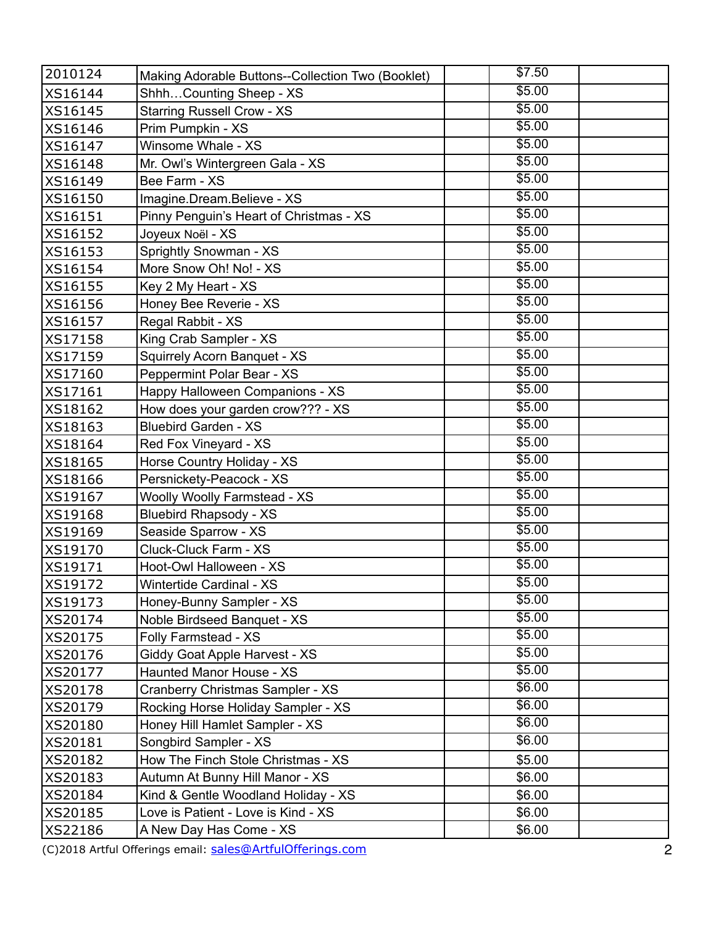| \$5.00<br>ShhhCounting Sheep - XS<br>XS16144<br>\$5.00<br><b>Starring Russell Crow - XS</b><br>XS16145<br>\$5.00<br>Prim Pumpkin - XS<br>XS16146<br>\$5.00<br>Winsome Whale - XS<br>XS16147<br>\$5.00<br>Mr. Owl's Wintergreen Gala - XS<br>XS16148<br>\$5.00<br>Bee Farm - XS<br>XS16149<br>\$5.00<br>Imagine.Dream.Believe - XS<br>XS16150<br>\$5.00<br>Pinny Penguin's Heart of Christmas - XS<br>XS16151<br>\$5.00<br>Joyeux Noël - XS<br>XS16152<br>\$5.00<br>Sprightly Snowman - XS<br>XS16153<br>\$5.00<br>More Snow Oh! No! - XS<br>XS16154<br>\$5.00<br>Key 2 My Heart - XS<br>XS16155<br>\$5.00<br>Honey Bee Reverie - XS<br>XS16156<br>\$5.00<br>Regal Rabbit - XS<br>XS16157<br>\$5.00<br>King Crab Sampler - XS<br>XS17158<br>\$5.00<br>Squirrely Acorn Banquet - XS<br>XS17159<br>\$5.00<br>Peppermint Polar Bear - XS<br>XS17160<br>\$5.00<br>Happy Halloween Companions - XS<br>XS17161<br>\$5.00<br>How does your garden crow??? - XS<br>XS18162<br>\$5.00<br><b>Bluebird Garden - XS</b><br>XS18163<br>\$5.00<br>Red Fox Vineyard - XS<br>XS18164<br>\$5.00<br>Horse Country Holiday - XS<br>XS18165<br>\$5.00<br>Persnickety-Peacock - XS<br>XS18166<br>\$5.00<br><b>Woolly Woolly Farmstead - XS</b><br>XS19167<br>\$5.00<br><b>Bluebird Rhapsody - XS</b><br>XS19168<br>\$5.00<br>Seaside Sparrow - XS<br>XS19169<br>\$5.00<br>Cluck-Cluck Farm - XS<br>XS19170<br>\$5.00<br>Hoot-Owl Halloween - XS<br>XS19171<br>\$5.00<br><b>Wintertide Cardinal - XS</b><br>XS19172<br>\$5.00<br>Honey-Bunny Sampler - XS<br>XS19173<br>\$5.00<br>Noble Birdseed Banquet - XS<br>XS20174<br>\$5.00<br>Folly Farmstead - XS<br>XS20175<br>\$5.00<br>Giddy Goat Apple Harvest - XS<br>XS20176<br>\$5.00<br>Haunted Manor House - XS<br>XS20177<br>\$6.00<br>Cranberry Christmas Sampler - XS<br>XS20178<br>\$6.00<br>Rocking Horse Holiday Sampler - XS<br>XS20179<br>\$6.00<br>Honey Hill Hamlet Sampler - XS<br>XS20180<br>\$6.00<br>Songbird Sampler - XS<br>XS20181<br>How The Finch Stole Christmas - XS<br>\$5.00<br>XS20182<br>Autumn At Bunny Hill Manor - XS<br>\$6.00<br>XS20183<br>Kind & Gentle Woodland Holiday - XS<br>\$6.00<br>XS20184<br>Love is Patient - Love is Kind - XS<br>\$6.00<br>XS20185<br>A New Day Has Come - XS<br>\$6.00<br>XS22186 | 2010124 | Making Adorable Buttons--Collection Two (Booklet) | \$7.50 |  |
|---------------------------------------------------------------------------------------------------------------------------------------------------------------------------------------------------------------------------------------------------------------------------------------------------------------------------------------------------------------------------------------------------------------------------------------------------------------------------------------------------------------------------------------------------------------------------------------------------------------------------------------------------------------------------------------------------------------------------------------------------------------------------------------------------------------------------------------------------------------------------------------------------------------------------------------------------------------------------------------------------------------------------------------------------------------------------------------------------------------------------------------------------------------------------------------------------------------------------------------------------------------------------------------------------------------------------------------------------------------------------------------------------------------------------------------------------------------------------------------------------------------------------------------------------------------------------------------------------------------------------------------------------------------------------------------------------------------------------------------------------------------------------------------------------------------------------------------------------------------------------------------------------------------------------------------------------------------------------------------------------------------------------------------------------------------------------------------------------------------------------------------------------------------------------------------------------------------------------------------------------------------------------|---------|---------------------------------------------------|--------|--|
|                                                                                                                                                                                                                                                                                                                                                                                                                                                                                                                                                                                                                                                                                                                                                                                                                                                                                                                                                                                                                                                                                                                                                                                                                                                                                                                                                                                                                                                                                                                                                                                                                                                                                                                                                                                                                                                                                                                                                                                                                                                                                                                                                                                                                                                                           |         |                                                   |        |  |
|                                                                                                                                                                                                                                                                                                                                                                                                                                                                                                                                                                                                                                                                                                                                                                                                                                                                                                                                                                                                                                                                                                                                                                                                                                                                                                                                                                                                                                                                                                                                                                                                                                                                                                                                                                                                                                                                                                                                                                                                                                                                                                                                                                                                                                                                           |         |                                                   |        |  |
|                                                                                                                                                                                                                                                                                                                                                                                                                                                                                                                                                                                                                                                                                                                                                                                                                                                                                                                                                                                                                                                                                                                                                                                                                                                                                                                                                                                                                                                                                                                                                                                                                                                                                                                                                                                                                                                                                                                                                                                                                                                                                                                                                                                                                                                                           |         |                                                   |        |  |
|                                                                                                                                                                                                                                                                                                                                                                                                                                                                                                                                                                                                                                                                                                                                                                                                                                                                                                                                                                                                                                                                                                                                                                                                                                                                                                                                                                                                                                                                                                                                                                                                                                                                                                                                                                                                                                                                                                                                                                                                                                                                                                                                                                                                                                                                           |         |                                                   |        |  |
|                                                                                                                                                                                                                                                                                                                                                                                                                                                                                                                                                                                                                                                                                                                                                                                                                                                                                                                                                                                                                                                                                                                                                                                                                                                                                                                                                                                                                                                                                                                                                                                                                                                                                                                                                                                                                                                                                                                                                                                                                                                                                                                                                                                                                                                                           |         |                                                   |        |  |
|                                                                                                                                                                                                                                                                                                                                                                                                                                                                                                                                                                                                                                                                                                                                                                                                                                                                                                                                                                                                                                                                                                                                                                                                                                                                                                                                                                                                                                                                                                                                                                                                                                                                                                                                                                                                                                                                                                                                                                                                                                                                                                                                                                                                                                                                           |         |                                                   |        |  |
|                                                                                                                                                                                                                                                                                                                                                                                                                                                                                                                                                                                                                                                                                                                                                                                                                                                                                                                                                                                                                                                                                                                                                                                                                                                                                                                                                                                                                                                                                                                                                                                                                                                                                                                                                                                                                                                                                                                                                                                                                                                                                                                                                                                                                                                                           |         |                                                   |        |  |
|                                                                                                                                                                                                                                                                                                                                                                                                                                                                                                                                                                                                                                                                                                                                                                                                                                                                                                                                                                                                                                                                                                                                                                                                                                                                                                                                                                                                                                                                                                                                                                                                                                                                                                                                                                                                                                                                                                                                                                                                                                                                                                                                                                                                                                                                           |         |                                                   |        |  |
|                                                                                                                                                                                                                                                                                                                                                                                                                                                                                                                                                                                                                                                                                                                                                                                                                                                                                                                                                                                                                                                                                                                                                                                                                                                                                                                                                                                                                                                                                                                                                                                                                                                                                                                                                                                                                                                                                                                                                                                                                                                                                                                                                                                                                                                                           |         |                                                   |        |  |
|                                                                                                                                                                                                                                                                                                                                                                                                                                                                                                                                                                                                                                                                                                                                                                                                                                                                                                                                                                                                                                                                                                                                                                                                                                                                                                                                                                                                                                                                                                                                                                                                                                                                                                                                                                                                                                                                                                                                                                                                                                                                                                                                                                                                                                                                           |         |                                                   |        |  |
|                                                                                                                                                                                                                                                                                                                                                                                                                                                                                                                                                                                                                                                                                                                                                                                                                                                                                                                                                                                                                                                                                                                                                                                                                                                                                                                                                                                                                                                                                                                                                                                                                                                                                                                                                                                                                                                                                                                                                                                                                                                                                                                                                                                                                                                                           |         |                                                   |        |  |
|                                                                                                                                                                                                                                                                                                                                                                                                                                                                                                                                                                                                                                                                                                                                                                                                                                                                                                                                                                                                                                                                                                                                                                                                                                                                                                                                                                                                                                                                                                                                                                                                                                                                                                                                                                                                                                                                                                                                                                                                                                                                                                                                                                                                                                                                           |         |                                                   |        |  |
|                                                                                                                                                                                                                                                                                                                                                                                                                                                                                                                                                                                                                                                                                                                                                                                                                                                                                                                                                                                                                                                                                                                                                                                                                                                                                                                                                                                                                                                                                                                                                                                                                                                                                                                                                                                                                                                                                                                                                                                                                                                                                                                                                                                                                                                                           |         |                                                   |        |  |
|                                                                                                                                                                                                                                                                                                                                                                                                                                                                                                                                                                                                                                                                                                                                                                                                                                                                                                                                                                                                                                                                                                                                                                                                                                                                                                                                                                                                                                                                                                                                                                                                                                                                                                                                                                                                                                                                                                                                                                                                                                                                                                                                                                                                                                                                           |         |                                                   |        |  |
|                                                                                                                                                                                                                                                                                                                                                                                                                                                                                                                                                                                                                                                                                                                                                                                                                                                                                                                                                                                                                                                                                                                                                                                                                                                                                                                                                                                                                                                                                                                                                                                                                                                                                                                                                                                                                                                                                                                                                                                                                                                                                                                                                                                                                                                                           |         |                                                   |        |  |
|                                                                                                                                                                                                                                                                                                                                                                                                                                                                                                                                                                                                                                                                                                                                                                                                                                                                                                                                                                                                                                                                                                                                                                                                                                                                                                                                                                                                                                                                                                                                                                                                                                                                                                                                                                                                                                                                                                                                                                                                                                                                                                                                                                                                                                                                           |         |                                                   |        |  |
|                                                                                                                                                                                                                                                                                                                                                                                                                                                                                                                                                                                                                                                                                                                                                                                                                                                                                                                                                                                                                                                                                                                                                                                                                                                                                                                                                                                                                                                                                                                                                                                                                                                                                                                                                                                                                                                                                                                                                                                                                                                                                                                                                                                                                                                                           |         |                                                   |        |  |
|                                                                                                                                                                                                                                                                                                                                                                                                                                                                                                                                                                                                                                                                                                                                                                                                                                                                                                                                                                                                                                                                                                                                                                                                                                                                                                                                                                                                                                                                                                                                                                                                                                                                                                                                                                                                                                                                                                                                                                                                                                                                                                                                                                                                                                                                           |         |                                                   |        |  |
|                                                                                                                                                                                                                                                                                                                                                                                                                                                                                                                                                                                                                                                                                                                                                                                                                                                                                                                                                                                                                                                                                                                                                                                                                                                                                                                                                                                                                                                                                                                                                                                                                                                                                                                                                                                                                                                                                                                                                                                                                                                                                                                                                                                                                                                                           |         |                                                   |        |  |
|                                                                                                                                                                                                                                                                                                                                                                                                                                                                                                                                                                                                                                                                                                                                                                                                                                                                                                                                                                                                                                                                                                                                                                                                                                                                                                                                                                                                                                                                                                                                                                                                                                                                                                                                                                                                                                                                                                                                                                                                                                                                                                                                                                                                                                                                           |         |                                                   |        |  |
|                                                                                                                                                                                                                                                                                                                                                                                                                                                                                                                                                                                                                                                                                                                                                                                                                                                                                                                                                                                                                                                                                                                                                                                                                                                                                                                                                                                                                                                                                                                                                                                                                                                                                                                                                                                                                                                                                                                                                                                                                                                                                                                                                                                                                                                                           |         |                                                   |        |  |
|                                                                                                                                                                                                                                                                                                                                                                                                                                                                                                                                                                                                                                                                                                                                                                                                                                                                                                                                                                                                                                                                                                                                                                                                                                                                                                                                                                                                                                                                                                                                                                                                                                                                                                                                                                                                                                                                                                                                                                                                                                                                                                                                                                                                                                                                           |         |                                                   |        |  |
|                                                                                                                                                                                                                                                                                                                                                                                                                                                                                                                                                                                                                                                                                                                                                                                                                                                                                                                                                                                                                                                                                                                                                                                                                                                                                                                                                                                                                                                                                                                                                                                                                                                                                                                                                                                                                                                                                                                                                                                                                                                                                                                                                                                                                                                                           |         |                                                   |        |  |
|                                                                                                                                                                                                                                                                                                                                                                                                                                                                                                                                                                                                                                                                                                                                                                                                                                                                                                                                                                                                                                                                                                                                                                                                                                                                                                                                                                                                                                                                                                                                                                                                                                                                                                                                                                                                                                                                                                                                                                                                                                                                                                                                                                                                                                                                           |         |                                                   |        |  |
|                                                                                                                                                                                                                                                                                                                                                                                                                                                                                                                                                                                                                                                                                                                                                                                                                                                                                                                                                                                                                                                                                                                                                                                                                                                                                                                                                                                                                                                                                                                                                                                                                                                                                                                                                                                                                                                                                                                                                                                                                                                                                                                                                                                                                                                                           |         |                                                   |        |  |
|                                                                                                                                                                                                                                                                                                                                                                                                                                                                                                                                                                                                                                                                                                                                                                                                                                                                                                                                                                                                                                                                                                                                                                                                                                                                                                                                                                                                                                                                                                                                                                                                                                                                                                                                                                                                                                                                                                                                                                                                                                                                                                                                                                                                                                                                           |         |                                                   |        |  |
|                                                                                                                                                                                                                                                                                                                                                                                                                                                                                                                                                                                                                                                                                                                                                                                                                                                                                                                                                                                                                                                                                                                                                                                                                                                                                                                                                                                                                                                                                                                                                                                                                                                                                                                                                                                                                                                                                                                                                                                                                                                                                                                                                                                                                                                                           |         |                                                   |        |  |
|                                                                                                                                                                                                                                                                                                                                                                                                                                                                                                                                                                                                                                                                                                                                                                                                                                                                                                                                                                                                                                                                                                                                                                                                                                                                                                                                                                                                                                                                                                                                                                                                                                                                                                                                                                                                                                                                                                                                                                                                                                                                                                                                                                                                                                                                           |         |                                                   |        |  |
|                                                                                                                                                                                                                                                                                                                                                                                                                                                                                                                                                                                                                                                                                                                                                                                                                                                                                                                                                                                                                                                                                                                                                                                                                                                                                                                                                                                                                                                                                                                                                                                                                                                                                                                                                                                                                                                                                                                                                                                                                                                                                                                                                                                                                                                                           |         |                                                   |        |  |
|                                                                                                                                                                                                                                                                                                                                                                                                                                                                                                                                                                                                                                                                                                                                                                                                                                                                                                                                                                                                                                                                                                                                                                                                                                                                                                                                                                                                                                                                                                                                                                                                                                                                                                                                                                                                                                                                                                                                                                                                                                                                                                                                                                                                                                                                           |         |                                                   |        |  |
|                                                                                                                                                                                                                                                                                                                                                                                                                                                                                                                                                                                                                                                                                                                                                                                                                                                                                                                                                                                                                                                                                                                                                                                                                                                                                                                                                                                                                                                                                                                                                                                                                                                                                                                                                                                                                                                                                                                                                                                                                                                                                                                                                                                                                                                                           |         |                                                   |        |  |
|                                                                                                                                                                                                                                                                                                                                                                                                                                                                                                                                                                                                                                                                                                                                                                                                                                                                                                                                                                                                                                                                                                                                                                                                                                                                                                                                                                                                                                                                                                                                                                                                                                                                                                                                                                                                                                                                                                                                                                                                                                                                                                                                                                                                                                                                           |         |                                                   |        |  |
|                                                                                                                                                                                                                                                                                                                                                                                                                                                                                                                                                                                                                                                                                                                                                                                                                                                                                                                                                                                                                                                                                                                                                                                                                                                                                                                                                                                                                                                                                                                                                                                                                                                                                                                                                                                                                                                                                                                                                                                                                                                                                                                                                                                                                                                                           |         |                                                   |        |  |
|                                                                                                                                                                                                                                                                                                                                                                                                                                                                                                                                                                                                                                                                                                                                                                                                                                                                                                                                                                                                                                                                                                                                                                                                                                                                                                                                                                                                                                                                                                                                                                                                                                                                                                                                                                                                                                                                                                                                                                                                                                                                                                                                                                                                                                                                           |         |                                                   |        |  |
|                                                                                                                                                                                                                                                                                                                                                                                                                                                                                                                                                                                                                                                                                                                                                                                                                                                                                                                                                                                                                                                                                                                                                                                                                                                                                                                                                                                                                                                                                                                                                                                                                                                                                                                                                                                                                                                                                                                                                                                                                                                                                                                                                                                                                                                                           |         |                                                   |        |  |
|                                                                                                                                                                                                                                                                                                                                                                                                                                                                                                                                                                                                                                                                                                                                                                                                                                                                                                                                                                                                                                                                                                                                                                                                                                                                                                                                                                                                                                                                                                                                                                                                                                                                                                                                                                                                                                                                                                                                                                                                                                                                                                                                                                                                                                                                           |         |                                                   |        |  |
|                                                                                                                                                                                                                                                                                                                                                                                                                                                                                                                                                                                                                                                                                                                                                                                                                                                                                                                                                                                                                                                                                                                                                                                                                                                                                                                                                                                                                                                                                                                                                                                                                                                                                                                                                                                                                                                                                                                                                                                                                                                                                                                                                                                                                                                                           |         |                                                   |        |  |
|                                                                                                                                                                                                                                                                                                                                                                                                                                                                                                                                                                                                                                                                                                                                                                                                                                                                                                                                                                                                                                                                                                                                                                                                                                                                                                                                                                                                                                                                                                                                                                                                                                                                                                                                                                                                                                                                                                                                                                                                                                                                                                                                                                                                                                                                           |         |                                                   |        |  |
|                                                                                                                                                                                                                                                                                                                                                                                                                                                                                                                                                                                                                                                                                                                                                                                                                                                                                                                                                                                                                                                                                                                                                                                                                                                                                                                                                                                                                                                                                                                                                                                                                                                                                                                                                                                                                                                                                                                                                                                                                                                                                                                                                                                                                                                                           |         |                                                   |        |  |
|                                                                                                                                                                                                                                                                                                                                                                                                                                                                                                                                                                                                                                                                                                                                                                                                                                                                                                                                                                                                                                                                                                                                                                                                                                                                                                                                                                                                                                                                                                                                                                                                                                                                                                                                                                                                                                                                                                                                                                                                                                                                                                                                                                                                                                                                           |         |                                                   |        |  |
|                                                                                                                                                                                                                                                                                                                                                                                                                                                                                                                                                                                                                                                                                                                                                                                                                                                                                                                                                                                                                                                                                                                                                                                                                                                                                                                                                                                                                                                                                                                                                                                                                                                                                                                                                                                                                                                                                                                                                                                                                                                                                                                                                                                                                                                                           |         |                                                   |        |  |
|                                                                                                                                                                                                                                                                                                                                                                                                                                                                                                                                                                                                                                                                                                                                                                                                                                                                                                                                                                                                                                                                                                                                                                                                                                                                                                                                                                                                                                                                                                                                                                                                                                                                                                                                                                                                                                                                                                                                                                                                                                                                                                                                                                                                                                                                           |         |                                                   |        |  |
|                                                                                                                                                                                                                                                                                                                                                                                                                                                                                                                                                                                                                                                                                                                                                                                                                                                                                                                                                                                                                                                                                                                                                                                                                                                                                                                                                                                                                                                                                                                                                                                                                                                                                                                                                                                                                                                                                                                                                                                                                                                                                                                                                                                                                                                                           |         |                                                   |        |  |

(C)2018 Artful Offerings email: [sales@ArtfulOfferings.com](mailto:sales@artfulofferings.com)